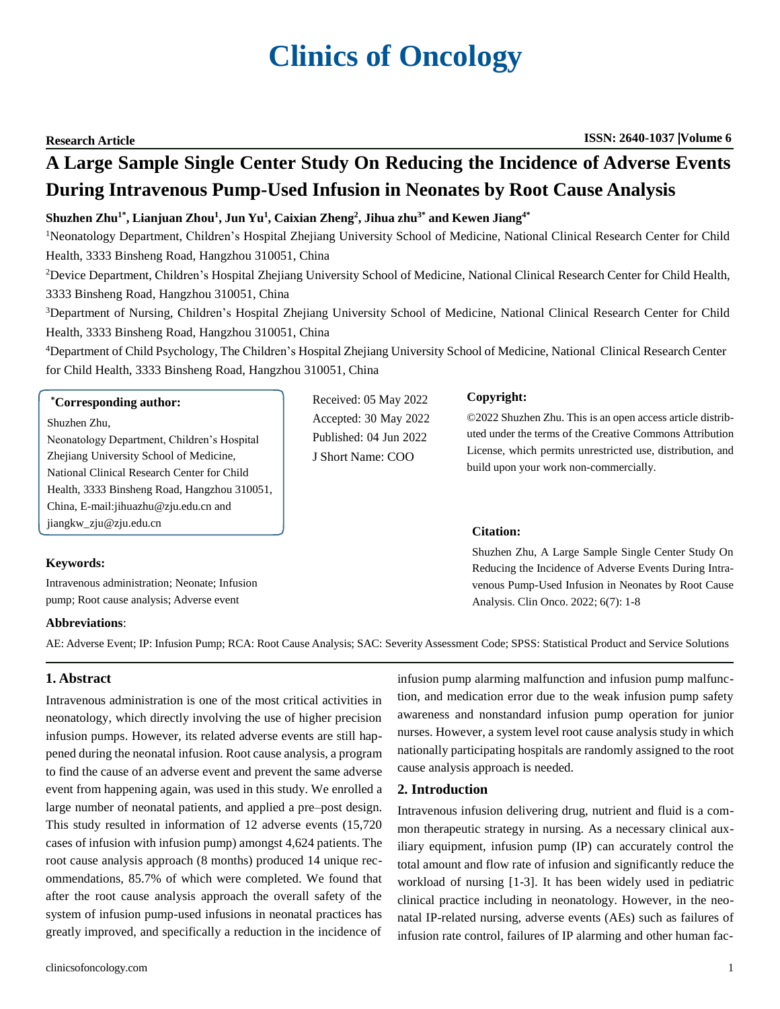# **Clinics of Oncology**

**Research Article ISSN: 2640-1037 Volume 6**

## **A Large Sample Single Center Study On Reducing the Incidence of Adverse Events During Intravenous Pump-Used Infusion in Neonates by Root Cause Analysis**

#### Shuzhen Zhu<sup>1\*</sup>, Lianjuan Zhou<sup>1</sup>, Jun Yu<sup>1</sup>, Caixian Zheng<sup>2</sup>, Jihua zhu<sup>3\*</sup> and Kewen Jiang<sup>4\*</sup>

<sup>1</sup>Neonatology Department, Children's Hospital Zhejiang University School of Medicine, National Clinical Research Center for Child Health, 3333 Binsheng Road, Hangzhou 310051, China

<sup>2</sup>Device Department, Children's Hospital Zhejiang University School of Medicine, National Clinical Research Center for Child Health, 3333 Binsheng Road, Hangzhou 310051, China

<sup>3</sup>Department of Nursing, Children's Hospital Zhejiang University School of Medicine, National Clinical Research Center for Child Health, 3333 Binsheng Road, Hangzhou 310051, China

<sup>4</sup>Department of Child Psychology, The Children's Hospital Zhejiang University School of Medicine, National Clinical Research Center for Child Health, 3333 Binsheng Road, Hangzhou 310051, China

> Received: 05 May 2022 Accepted: 30 May 2022 Published: 04 Jun 2022 J Short Name: COO

#### **\*Corresponding author:**

Shuzhen Zhu, Neonatology Department, Children's Hospital Zhejiang University School of Medicine, National Clinical Research Center for Child Health, 3333 Binsheng Road, Hangzhou 310051, China, [E-mail:jihuazhu@zju.edu.cn a](mailto:jihuazhu@zju.edu.cn)nd [jiangkw\\_zju@zju.edu.cn](mailto:jiangkw_zju@zju.edu.cn)

#### **Keywords:**

Intravenous administration; Neonate; Infusion pump; Root cause analysis; Adverse event

#### **Copyright:**

©2022 Shuzhen Zhu. This is an open access article distributed under the terms of the Creative Commons Attribution License, which permits unrestricted use, distribution, and build upon your work non-commercially.

#### **Citation:**

Shuzhen Zhu, A Large Sample Single Center Study On Reducing the Incidence of Adverse Events During Intravenous Pump-Used Infusion in Neonates by Root Cause Analysis. Clin Onco. 2022; 6(7): 1-8

#### **Abbreviations**:

AE: Adverse Event; IP: Infusion Pump; RCA: Root Cause Analysis; SAC: Severity Assessment Code; SPSS: Statistical Product and Service Solutions

### **1. Abstract**

Intravenous administration is one of the most critical activities in neonatology, which directly involving the use of higher precision infusion pumps. However, its related adverse events are still happened during the neonatal infusion. Root cause analysis, a program to find the cause of an adverse event and prevent the same adverse event from happening again, was used in this study. We enrolled a large number of neonatal patients, and applied a pre–post design. This study resulted in information of 12 adverse events (15,720 cases of infusion with infusion pump) amongst 4,624 patients. The root cause analysis approach (8 months) produced 14 unique recommendations, 85.7% of which were completed. We found that after the root cause analysis approach the overall safety of the system of infusion pump-used infusions in neonatal practices has greatly improved, and specifically a reduction in the incidence of

infusion pump alarming malfunction and infusion pump malfunction, and medication error due to the weak infusion pump safety awareness and nonstandard infusion pump operation for junior nurses. However, a system level root cause analysis study in which nationally participating hospitals are randomly assigned to the root cause analysis approach is needed.

#### **2. Introduction**

Intravenous infusion delivering drug, nutrient and fluid is a common therapeutic strategy in nursing. As a necessary clinical auxiliary equipment, infusion pump (IP) can accurately control the total amount and flow rate of infusion and significantly reduce the workload of nursing [1-3]. It has been widely used in pediatric clinical practice including in neonatology. However, in the neonatal IP-related nursing, adverse events (AEs) such as failures of infusion rate control, failures of IP alarming and other human fac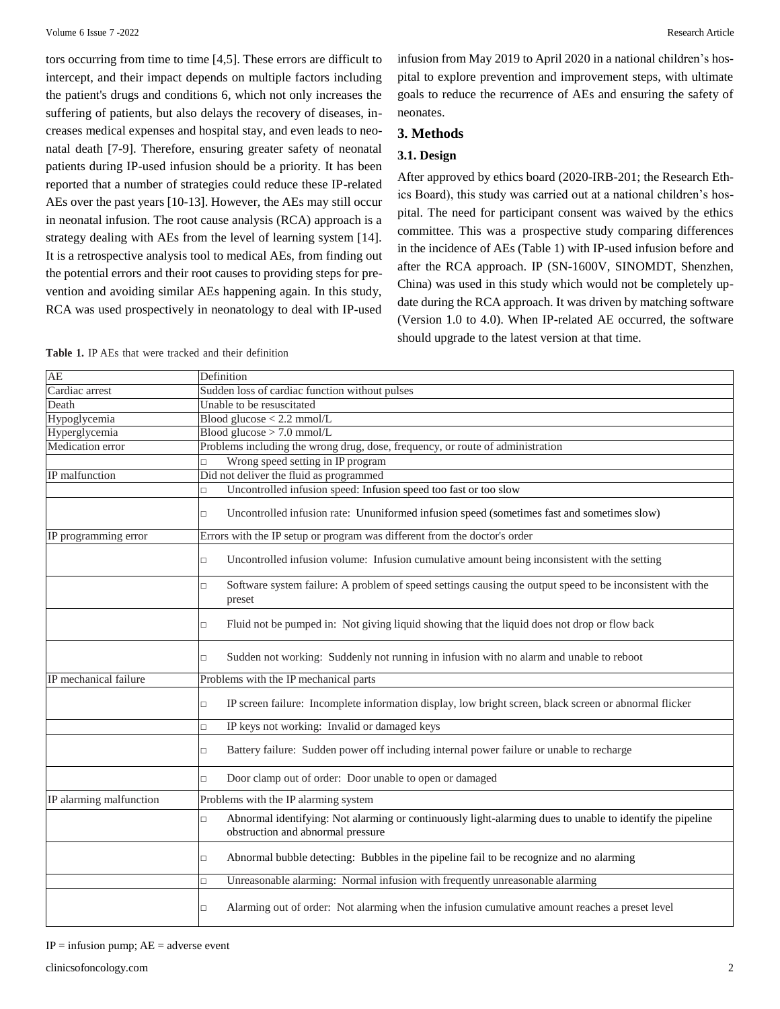tors occurring from time to time [4,5]. These errors are difficult to intercept, and their impact depends on multiple factors including the patient's drugs and conditions 6, which not only increases the suffering of patients, but also delays the recovery of diseases, increases medical expenses and hospital stay, and even leads to neonatal death [7-9]. Therefore, ensuring greater safety of neonatal patients during IP-used infusion should be a priority. It has been reported that a number of strategies could reduce these IP-related AEs over the past years [10-13]. However, the AEs may still occur in neonatal infusion. The root cause analysis (RCA) approach is a strategy dealing with AEs from the level of learning system [14]. It is a retrospective analysis tool to medical AEs, from finding out the potential errors and their root causes to providing steps for prevention and avoiding similar AEs happening again. In this study, RCA was used prospectively in neonatology to deal with IP-used

infusion from May 2019 to April 2020 in a national children's hospital to explore prevention and improvement steps, with ultimate goals to reduce the recurrence of AEs and ensuring the safety of neonates.

#### **3. Methods**

#### **3.1. Design**

After approved by ethics board (2020-IRB-201; the Research Ethics Board), this study was carried out at a national children's hospital. The need for participant consent was waived by the ethics committee. This was a prospective study comparing differences in the incidence of AEs (Table 1) with IP-used infusion before and after the RCA approach. IP (SN-1600V, SINOMDT, Shenzhen, China) was used in this study which would not be completely update during the RCA approach. It was driven by matching software (Version 1.0 to 4.0). When IP-related AE occurred, the software should upgrade to the latest version at that time.

|  |  |  |  | <b>Table 1.</b> IP AEs that were tracked and their definition |
|--|--|--|--|---------------------------------------------------------------|
|  |  |  |  |                                                               |

| AE                      | Definition                                                                                                                                               |  |  |  |  |  |
|-------------------------|----------------------------------------------------------------------------------------------------------------------------------------------------------|--|--|--|--|--|
| Cardiac arrest          | Sudden loss of cardiac function without pulses                                                                                                           |  |  |  |  |  |
| Death                   | Unable to be resuscitated                                                                                                                                |  |  |  |  |  |
| Hypoglycemia            | Blood glucose $< 2.2$ mmol/L                                                                                                                             |  |  |  |  |  |
| Hyperglycemia           | Blood glucose $> 7.0$ mmol/L                                                                                                                             |  |  |  |  |  |
| Medication error        | Problems including the wrong drug, dose, frequency, or route of administration                                                                           |  |  |  |  |  |
|                         | Wrong speed setting in IP program<br>L.                                                                                                                  |  |  |  |  |  |
| IP malfunction          | Did not deliver the fluid as programmed                                                                                                                  |  |  |  |  |  |
|                         | Uncontrolled infusion speed: Infusion speed too fast or too slow<br>Ò                                                                                    |  |  |  |  |  |
|                         | Uncontrolled infusion rate: Ununiformed infusion speed (sometimes fast and sometimes slow)<br>$\Box$                                                     |  |  |  |  |  |
| IP programming error    | Errors with the IP setup or program was different from the doctor's order                                                                                |  |  |  |  |  |
|                         | Uncontrolled infusion volume: Infusion cumulative amount being inconsistent with the setting<br>$\Box$                                                   |  |  |  |  |  |
|                         | Software system failure: A problem of speed settings causing the output speed to be inconsistent with the<br>$\Box$<br>preset                            |  |  |  |  |  |
|                         | Fluid not be pumped in: Not giving liquid showing that the liquid does not drop or flow back<br>$\Box$                                                   |  |  |  |  |  |
|                         | Sudden not working: Suddenly not running in infusion with no alarm and unable to reboot<br>$\Box$                                                        |  |  |  |  |  |
| IP mechanical failure   | Problems with the IP mechanical parts                                                                                                                    |  |  |  |  |  |
|                         | IP screen failure: Incomplete information display, low bright screen, black screen or abnormal flicker<br>$\Box$                                         |  |  |  |  |  |
|                         | IP keys not working: Invalid or damaged keys<br>$\Box$                                                                                                   |  |  |  |  |  |
|                         | Battery failure: Sudden power off including internal power failure or unable to recharge<br>$\Box$                                                       |  |  |  |  |  |
|                         | Door clamp out of order: Door unable to open or damaged<br>П                                                                                             |  |  |  |  |  |
| IP alarming malfunction | Problems with the IP alarming system                                                                                                                     |  |  |  |  |  |
|                         | Abnormal identifying: Not alarming or continuously light-alarming dues to unable to identify the pipeline<br>$\Box$<br>obstruction and abnormal pressure |  |  |  |  |  |
|                         | Abnormal bubble detecting: Bubbles in the pipeline fail to be recognize and no alarming<br>$\Box$                                                        |  |  |  |  |  |
|                         | Unreasonable alarming: Normal infusion with frequently unreasonable alarming<br>$\Box$                                                                   |  |  |  |  |  |
|                         | Alarming out of order: Not alarming when the infusion cumulative amount reaches a preset level<br>$\Box$                                                 |  |  |  |  |  |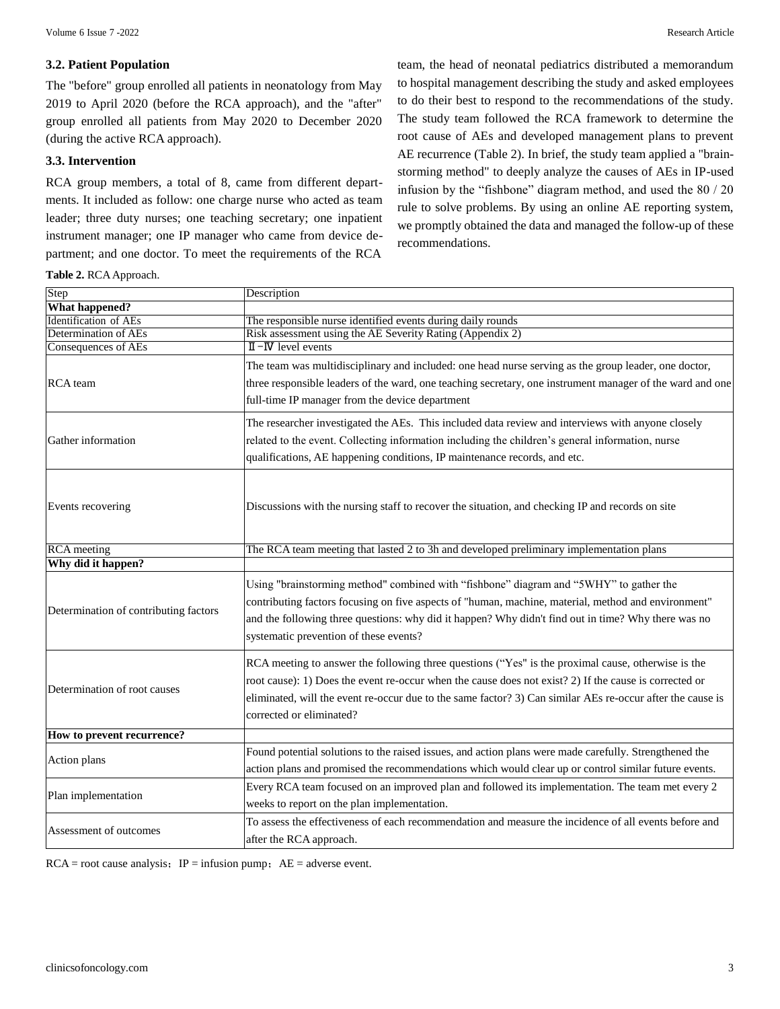#### **3.2. Patient Population**

The "before" group enrolled all patients in neonatology from May 2019 to April 2020 (before the RCA approach), and the "after" group enrolled all patients from May 2020 to December 2020 (during the active RCA approach).

#### **3.3. Intervention**

RCA group members, a total of 8, came from different departments. It included as follow: one charge nurse who acted as team leader; three duty nurses; one teaching secretary; one inpatient instrument manager; one IP manager who came from device department; and one doctor. To meet the requirements of the RCA

team, the head of neonatal pediatrics distributed a memorandum to hospital management describing the study and asked employees to do their best to respond to the recommendations of the study. The study team followed the RCA framework to determine the root cause of AEs and developed management plans to prevent AE recurrence (Table 2). In brief, the study team applied a "brainstorming method" to deeply analyze the causes of AEs in IP-used infusion by the "fishbone" diagram method, and used the 80 / 20 rule to solve problems. By using an online AE reporting system, we promptly obtained the data and managed the follow-up of these recommendations.

**Table 2.** RCAApproach.

| Step                                  | Description                                                                                                                                                                                                                                                                                                                                            |  |  |  |  |
|---------------------------------------|--------------------------------------------------------------------------------------------------------------------------------------------------------------------------------------------------------------------------------------------------------------------------------------------------------------------------------------------------------|--|--|--|--|
| <b>What happened?</b>                 |                                                                                                                                                                                                                                                                                                                                                        |  |  |  |  |
| Identification of AEs                 | The responsible nurse identified events during daily rounds                                                                                                                                                                                                                                                                                            |  |  |  |  |
| Determination of AEs                  | Risk assessment using the AE Severity Rating (Appendix 2)                                                                                                                                                                                                                                                                                              |  |  |  |  |
| Consequences of AEs                   | $\mathbb{I}$ - <b>IV</b> level events                                                                                                                                                                                                                                                                                                                  |  |  |  |  |
| RCA team                              | The team was multidisciplinary and included: one head nurse serving as the group leader, one doctor,<br>three responsible leaders of the ward, one teaching secretary, one instrument manager of the ward and one<br>full-time IP manager from the device department                                                                                   |  |  |  |  |
| Gather information                    | The researcher investigated the AEs. This included data review and interviews with anyone closely<br>related to the event. Collecting information including the children's general information, nurse<br>qualifications, AE happening conditions, IP maintenance records, and etc.                                                                     |  |  |  |  |
| Events recovering                     | Discussions with the nursing staff to recover the situation, and checking IP and records on site                                                                                                                                                                                                                                                       |  |  |  |  |
| <b>RCA</b> meeting                    | The RCA team meeting that lasted 2 to 3h and developed preliminary implementation plans                                                                                                                                                                                                                                                                |  |  |  |  |
| Why did it happen?                    |                                                                                                                                                                                                                                                                                                                                                        |  |  |  |  |
| Determination of contributing factors | Using "brainstorming method" combined with "fishbone" diagram and "5WHY" to gather the<br>contributing factors focusing on five aspects of "human, machine, material, method and environment"<br>and the following three questions: why did it happen? Why didn't find out in time? Why there was no<br>systematic prevention of these events?         |  |  |  |  |
| Determination of root causes          | RCA meeting to answer the following three questions ("Yes" is the proximal cause, otherwise is the<br>root cause): 1) Does the event re-occur when the cause does not exist? 2) If the cause is corrected or<br>eliminated, will the event re-occur due to the same factor? 3) Can similar AEs re-occur after the cause is<br>corrected or eliminated? |  |  |  |  |
| How to prevent recurrence?            |                                                                                                                                                                                                                                                                                                                                                        |  |  |  |  |
| Action plans                          | Found potential solutions to the raised issues, and action plans were made carefully. Strengthened the<br>action plans and promised the recommendations which would clear up or control similar future events.                                                                                                                                         |  |  |  |  |
|                                       | Every RCA team focused on an improved plan and followed its implementation. The team met every 2                                                                                                                                                                                                                                                       |  |  |  |  |
| Plan implementation                   | weeks to report on the plan implementation.                                                                                                                                                                                                                                                                                                            |  |  |  |  |
| Assessment of outcomes                | To assess the effectiveness of each recommendation and measure the incidence of all events before and                                                                                                                                                                                                                                                  |  |  |  |  |
|                                       | after the RCA approach.                                                                                                                                                                                                                                                                                                                                |  |  |  |  |

 $RCA = root$  cause analysis;  $IP = infusion$  pump;  $AE =$  adverse event.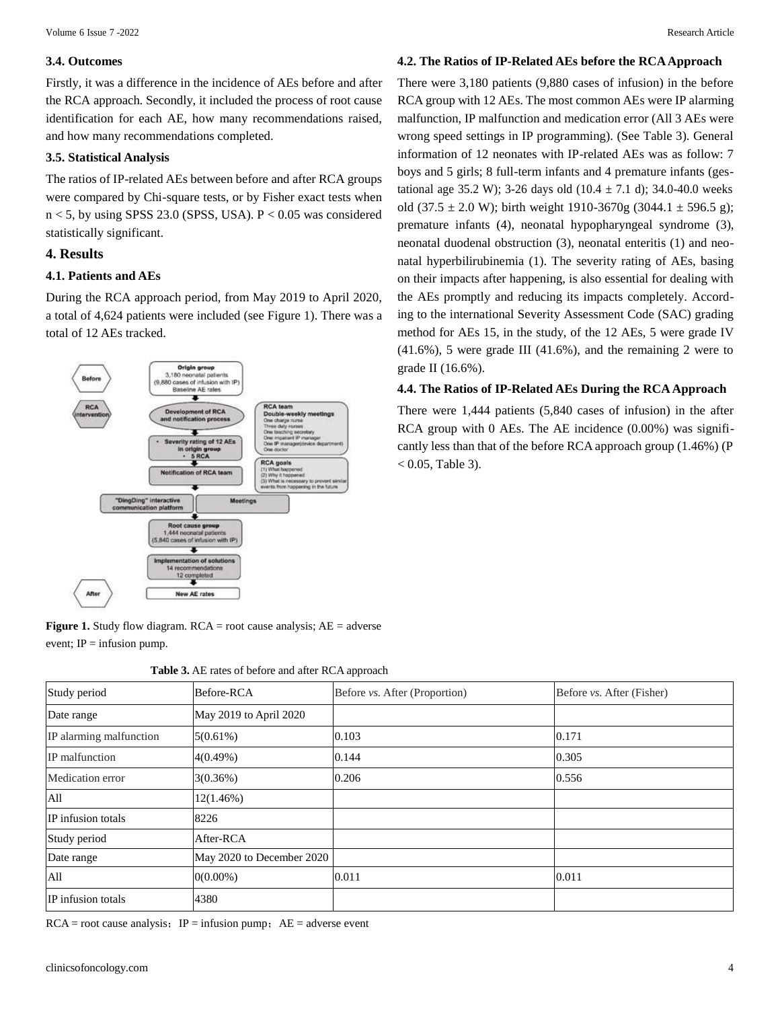#### **3.4. Outcomes**

Firstly, it was a difference in the incidence of AEs before and after the RCA approach. Secondly, it included the process of root cause identification for each AE, how many recommendations raised, and how many recommendations completed.

#### **3.5. Statistical Analysis**

The ratios of IP-related AEs between before and after RCA groups were compared by Chi-square tests, or by Fisher exact tests when  $n < 5$ , by using SPSS 23.0 (SPSS, USA).  $P < 0.05$  was considered statistically significant.

#### **4. Results**

#### **4.1. Patients and AEs**

During the RCA approach period, from May 2019 to April 2020, a total of 4,624 patients were included (see Figure 1). There was a total of 12 AEs tracked.



**Figure 1.** Study flow diagram. RCA = root cause analysis; AE = adverse event;  $IP =$  infusion pump.

| <b>Table 3.</b> AE rates of before and after RCA approach |
|-----------------------------------------------------------|
|-----------------------------------------------------------|

| AOR to tmoms<br>cation process                                         | <b>PULLER SERVICE</b><br>Double-weekly meetings<br>Отие слылов пытье: | There were $1,444$ patients $(5,840$ cases of infusion) in the after |
|------------------------------------------------------------------------|-----------------------------------------------------------------------|----------------------------------------------------------------------|
|                                                                        | One teaching secretary                                                | RCA group with $0$ AEs. The AE incidence $(0.00\%)$ was signifi-     |
| rating of 12 AEs<br>aueng might                                        | Dive doctor-                                                          | cantly less than that of the before RCA approach group (1.46%) (P    |
| 5 RCA<br>on of RCA team                                                | <b>RCA</b> goals<br><b>What harnersed</b>                             | $0.05$ , Table 3).                                                   |
| <b>Meetings</b>                                                        |                                                                       |                                                                      |
| ause group<br>priatel patients<br>and finally continuum and the 1990s. |                                                                       |                                                                      |

| Study period            | Before-RCA                | Before vs. After (Proportion) | Before vs. After (Fisher) |
|-------------------------|---------------------------|-------------------------------|---------------------------|
| Date range              | May 2019 to April 2020    |                               |                           |
| IP alarming malfunction | 5(0.61%)                  | 0.103                         | 0.171                     |
| IP malfunction          | 4(0.49%)                  | 0.144                         | 0.305                     |
| Medication error        | 3(0.36%)                  | 0.206                         | 0.556                     |
| All                     | 12(1.46%)                 |                               |                           |
| IP infusion totals      | 8226                      |                               |                           |
| Study period            | After-RCA                 |                               |                           |
| Date range              | May 2020 to December 2020 |                               |                           |
| All                     | $0(0.00\%)$               | 0.011                         | 0.011                     |
| IP infusion totals      | 4380                      |                               |                           |

 $RCA = root$  cause analysis;  $IP = infusion$  pump;  $AE =$  adverse event

#### **4.2. The Ratios of IP-Related AEs before the RCAApproach**

There were 3,180 patients (9,880 cases of infusion) in the before RCA group with 12 AEs. The most common AEs were IP alarming malfunction, IP malfunction and medication error (All 3 AEs were wrong speed settings in IP programming). (See Table 3). General information of 12 neonates with IP-related AEs was as follow: 7 boys and 5 girls; 8 full-term infants and 4 premature infants (gestational age 35.2 W); 3-26 days old  $(10.4 \pm 7.1 \text{ d})$ ; 34.0-40.0 weeks old (37.5  $\pm$  2.0 W); birth weight 1910-3670g (3044.1  $\pm$  596.5 g); premature infants (4), neonatal hypopharyngeal syndrome (3), neonatal duodenal obstruction (3), neonatal enteritis (1) and neonatal hyperbilirubinemia (1). The severity rating of AEs, basing on their impacts after happening, is also essential for dealing with the AEs promptly and reducing its impacts completely. According to the international Severity Assessment Code (SAC) grading method for AEs 15, in the study, of the 12 AEs, 5 were grade IV (41.6%), 5 were grade III (41.6%), and the remaining 2 were to grade II (16.6%).

#### **4.4. The Ratios of IP-Related AEs During the RCA Approach**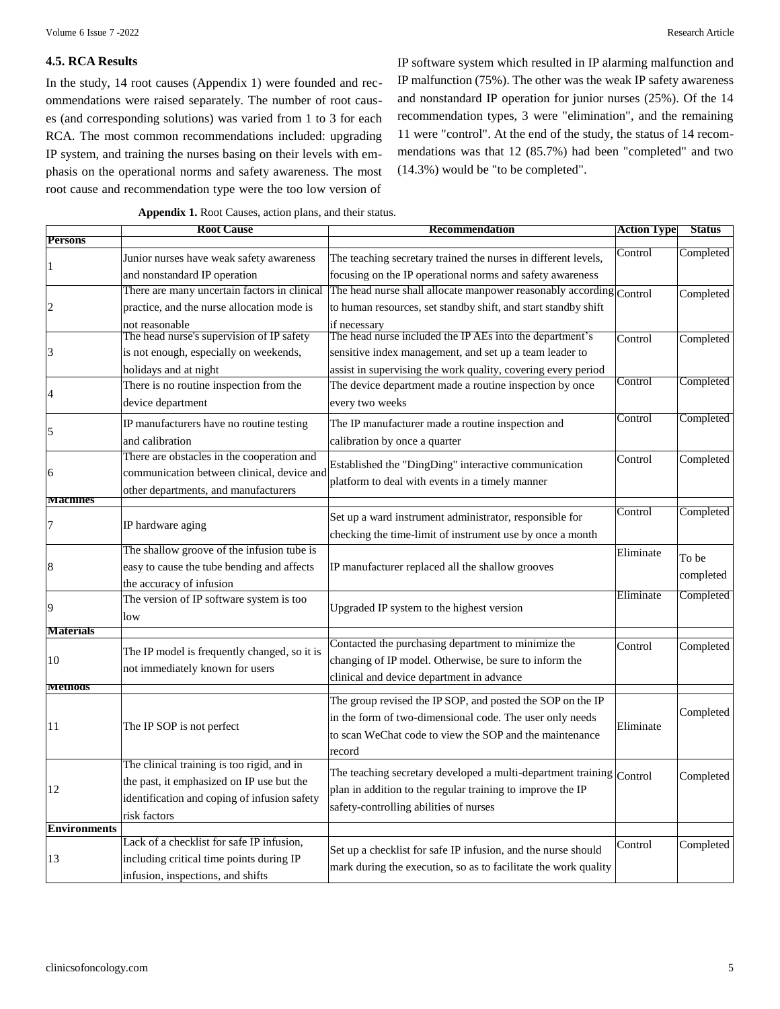#### **4.5. RCA Results**

In the study, 14 root causes (Appendix 1) were founded and recommendations were raised separately. The number of root causes (and corresponding solutions) was varied from 1 to 3 for each RCA. The most common recommendations included: upgrading IP system, and training the nurses basing on their levels with emphasis on the operational norms and safety awareness. The most root cause and recommendation type were the too low version of

IP software system which resulted in IP alarming malfunction and IP malfunction (75%). The other was the weak IP safety awareness and nonstandard IP operation for junior nurses (25%). Of the 14 recommendation types, 3 were "elimination", and the remaining 11 were "control". At the end of the study, the status of 14 recommendations was that 12 (85.7%) had been "completed" and two (14.3%) would be "to be completed".

|                     | <b>Root Cause</b><br><b>Recommendation</b>   |                                                                              | <b>Action Type</b><br><b>Status</b> |           |
|---------------------|----------------------------------------------|------------------------------------------------------------------------------|-------------------------------------|-----------|
| <b>Persons</b>      |                                              |                                                                              |                                     |           |
| 1                   | Junior nurses have weak safety awareness     | The teaching secretary trained the nurses in different levels,               | Control                             | Completed |
|                     | and nonstandard IP operation                 | focusing on the IP operational norms and safety awareness                    |                                     |           |
|                     | There are many uncertain factors in clinical | The head nurse shall allocate manpower reasonably according Control          |                                     | Completed |
| $\overline{c}$      | practice, and the nurse allocation mode is   | to human resources, set standby shift, and start standby shift               |                                     |           |
|                     | not reasonable                               | if necessary                                                                 |                                     |           |
|                     | The head nurse's supervision of IP safety    | The head nurse included the IP AEs into the department's                     | Control                             | Completed |
| 3                   | is not enough, especially on weekends,       | sensitive index management, and set up a team leader to                      |                                     |           |
|                     | holidays and at night                        | assist in supervising the work quality, covering every period                |                                     |           |
| 4                   | There is no routine inspection from the      | The device department made a routine inspection by once                      | Control                             | Completed |
|                     | device department                            | every two weeks                                                              |                                     |           |
|                     | IP manufacturers have no routine testing     | The IP manufacturer made a routine inspection and                            | Control                             | Completed |
| 5                   | and calibration                              | calibration by once a quarter                                                |                                     |           |
|                     | There are obstacles in the cooperation and   |                                                                              | Control                             | Completed |
| 6                   | communication between clinical, device and   | Established the "DingDing" interactive communication                         |                                     |           |
|                     | other departments, and manufacturers         | platform to deal with events in a timely manner                              |                                     |           |
| <b>Machines</b>     |                                              |                                                                              |                                     |           |
| 7                   | IP hardware aging                            | Set up a ward instrument administrator, responsible for                      | Control                             | Completed |
|                     |                                              | checking the time-limit of instrument use by once a month                    |                                     |           |
|                     | The shallow groove of the infusion tube is   |                                                                              | Eliminate                           | To be     |
| 8                   | easy to cause the tube bending and affects   | IP manufacturer replaced all the shallow grooves                             |                                     | completed |
|                     | the accuracy of infusion                     |                                                                              |                                     |           |
| 9                   | The version of IP software system is too     | Upgraded IP system to the highest version                                    | Eliminate                           | Completed |
|                     | low                                          |                                                                              |                                     |           |
| <b>Materials</b>    |                                              |                                                                              |                                     |           |
|                     | The IP model is frequently changed, so it is | Contacted the purchasing department to minimize the                          | Control                             | Completed |
| 10                  | not immediately known for users              | changing of IP model. Otherwise, be sure to inform the                       |                                     |           |
| Methods             |                                              | clinical and device department in advance                                    |                                     |           |
|                     |                                              | The group revised the IP SOP, and posted the SOP on the IP                   |                                     |           |
|                     |                                              | in the form of two-dimensional code. The user only needs                     |                                     | Completed |
| 11                  | The IP SOP is not perfect                    | to scan WeChat code to view the SOP and the maintenance                      | Eliminate                           |           |
|                     |                                              | record                                                                       |                                     |           |
|                     | The clinical training is too rigid, and in   |                                                                              |                                     |           |
|                     | the past, it emphasized on IP use but the    | The teaching secretary developed a multi-department training $\vert$ Control |                                     | Completed |
| 12                  | identification and coping of infusion safety | plan in addition to the regular training to improve the IP                   |                                     |           |
|                     | risk factors                                 | safety-controlling abilities of nurses                                       |                                     |           |
| <b>Environments</b> |                                              |                                                                              |                                     |           |
|                     | Lack of a checklist for safe IP infusion,    | Set up a checklist for safe IP infusion, and the nurse should                | Control                             | Completed |
| 13                  | including critical time points during IP     | mark during the execution, so as to facilitate the work quality              |                                     |           |
|                     | infusion, inspections, and shifts            |                                                                              |                                     |           |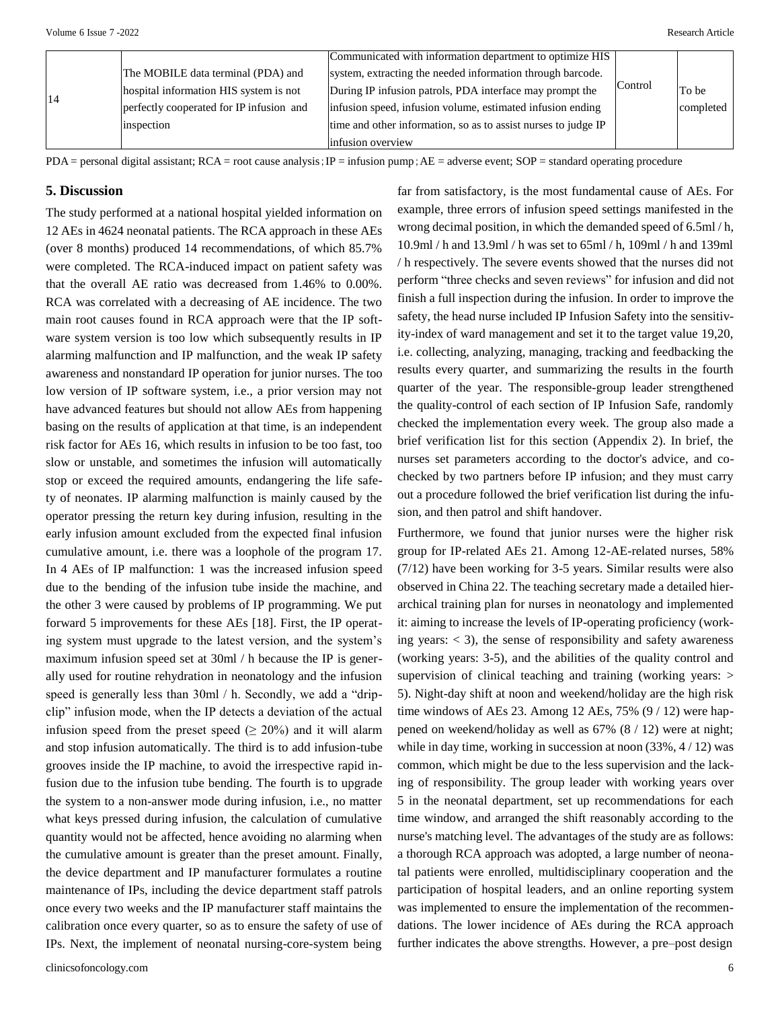|    |                                          | Communicated with information department to optimize HIS       |         |           |
|----|------------------------------------------|----------------------------------------------------------------|---------|-----------|
|    | The MOBILE data terminal (PDA) and       | system, extracting the needed information through barcode.     | Control |           |
| 14 | hospital information HIS system is not   | During IP infusion patrols, PDA interface may prompt the       |         | To be     |
|    | perfectly cooperated for IP infusion and | infusion speed, infusion volume, estimated infusion ending     |         | completed |
|    | inspection                               | time and other information, so as to assist nurses to judge IP |         |           |
|    |                                          | infusion overview                                              |         |           |

 $PDA$  = personal digital assistant;  $RCA$  = root cause analysis;  $IP$  = infusion pump;  $AE$  = adverse event;  $SOP$  = standard operating procedure

#### **5. Discussion**

The study performed at a national hospital yielded information on 12 AEs in 4624 neonatal patients. The RCA approach in these AEs (over 8 months) produced 14 recommendations, of which 85.7% were completed. The RCA-induced impact on patient safety was that the overall AE ratio was decreased from 1.46% to 0.00%. RCA was correlated with a decreasing of AE incidence. The two main root causes found in RCA approach were that the IP software system version is too low which subsequently results in IP alarming malfunction and IP malfunction, and the weak IP safety awareness and nonstandard IP operation for junior nurses. The too low version of IP software system, i.e., a prior version may not have advanced features but should not allow AEs from happening basing on the results of application at that time, is an independent risk factor for AEs 16, which results in infusion to be too fast, too slow or unstable, and sometimes the infusion will automatically stop or exceed the required amounts, endangering the life safety of neonates. IP alarming malfunction is mainly caused by the operator pressing the return key during infusion, resulting in the early infusion amount excluded from the expected final infusion cumulative amount, i.e. there was a loophole of the program 17. In 4 AEs of IP malfunction: 1 was the increased infusion speed due to the bending of the infusion tube inside the machine, and the other 3 were caused by problems of IP programming. We put forward 5 improvements for these AEs [18]. First, the IP operating system must upgrade to the latest version, and the system's maximum infusion speed set at 30ml / h because the IP is generally used for routine rehydration in neonatology and the infusion speed is generally less than 30ml / h. Secondly, we add a "dripclip" infusion mode, when the IP detects a deviation of the actual infusion speed from the preset speed  $(≥ 20%)$  and it will alarm and stop infusion automatically. The third is to add infusion-tube grooves inside the IP machine, to avoid the irrespective rapid infusion due to the infusion tube bending. The fourth is to upgrade the system to a non-answer mode during infusion, i.e., no matter what keys pressed during infusion, the calculation of cumulative quantity would not be affected, hence avoiding no alarming when the cumulative amount is greater than the preset amount. Finally, the device department and IP manufacturer formulates a routine maintenance of IPs, including the device department staff patrols once every two weeks and the IP manufacturer staff maintains the calibration once every quarter, so as to ensure the safety of use of IPs. Next, the implement of neonatal nursing-core-system being

far from satisfactory, is the most fundamental cause of AEs. For example, three errors of infusion speed settings manifested in the wrong decimal position, in which the demanded speed of 6.5ml / h, 10.9ml / h and 13.9ml / h was set to 65ml / h, 109ml / h and 139ml / h respectively. The severe events showed that the nurses did not perform "three checks and seven reviews" for infusion and did not finish a full inspection during the infusion. In order to improve the safety, the head nurse included IP Infusion Safety into the sensitivity-index of ward management and set it to the target value 19,20, i.e. collecting, analyzing, managing, tracking and feedbacking the results every quarter, and summarizing the results in the fourth quarter of the year. The responsible-group leader strengthened the quality-control of each section of IP Infusion Safe, randomly checked the implementation every week. The group also made a brief verification list for this section (Appendix 2). In brief, the nurses set parameters according to the doctor's advice, and cochecked by two partners before IP infusion; and they must carry out a procedure followed the brief verification list during the infusion, and then patrol and shift handover.

Furthermore, we found that junior nurses were the higher risk group for IP-related AEs 21. Among 12-AE-related nurses, 58% (7/12) have been working for 3-5 years. Similar results were also observed in China 22. The teaching secretary made a detailed hierarchical training plan for nurses in neonatology and implemented it: aiming to increase the levels of IP-operating proficiency (working years:  $\langle 3 \rangle$ , the sense of responsibility and safety awareness (working years: 3-5), and the abilities of the quality control and supervision of clinical teaching and training (working years:  $>$ 5). Night-day shift at noon and weekend/holiday are the high risk time windows of AEs 23. Among 12 AEs,  $75\%$  (9 / 12) were happened on weekend/holiday as well as 67% (8 / 12) were at night; while in day time, working in succession at noon  $(33\%, 4/12)$  was common, which might be due to the less supervision and the lacking of responsibility. The group leader with working years over 5 in the neonatal department, set up recommendations for each time window, and arranged the shift reasonably according to the nurse's matching level. The advantages of the study are as follows: a thorough RCA approach was adopted, a large number of neonatal patients were enrolled, multidisciplinary cooperation and the participation of hospital leaders, and an online reporting system was implemented to ensure the implementation of the recommendations. The lower incidence of AEs during the RCA approach further indicates the above strengths. However, a pre–post design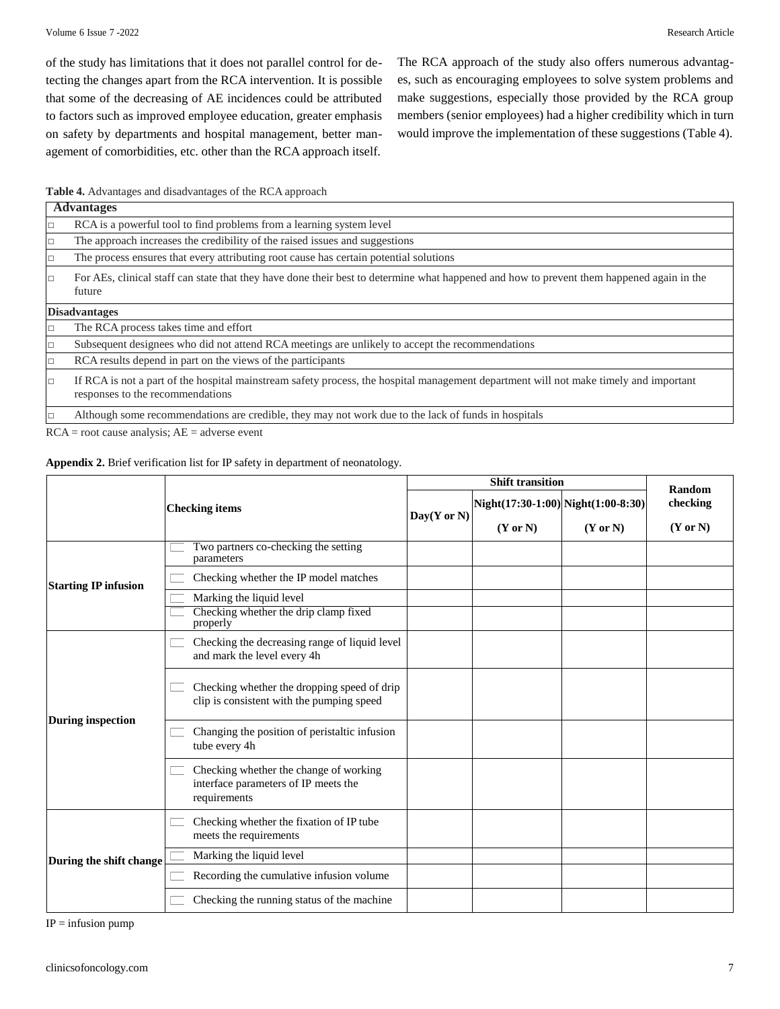of the study has limitations that it does not parallel control for detecting the changes apart from the RCA intervention. It is possible that some of the decreasing of AE incidences could be attributed to factors such as improved employee education, greater emphasis on safety by departments and hospital management, better management of comorbidities, etc. other than the RCA approach itself. The RCA approach of the study also offers numerous advantages, such as encouraging employees to solve system problems and make suggestions, especially those provided by the RCA group members (senior employees) had a higher credibility which in turn would improve the implementation of these suggestions (Table 4).

**Table 4.** Advantages and disadvantages of the RCA approach

| <b>Advantages</b>                                                                                                                                                         |  |  |  |  |
|---------------------------------------------------------------------------------------------------------------------------------------------------------------------------|--|--|--|--|
| RCA is a powerful tool to find problems from a learning system level                                                                                                      |  |  |  |  |
| The approach increases the credibility of the raised issues and suggestions                                                                                               |  |  |  |  |
| The process ensures that every attributing root cause has certain potential solutions                                                                                     |  |  |  |  |
| For AEs, clinical staff can state that they have done their best to determine what happened and how to prevent them happened again in the<br>future                       |  |  |  |  |
| <b>Disadvantages</b>                                                                                                                                                      |  |  |  |  |
| The RCA process takes time and effort                                                                                                                                     |  |  |  |  |
| Subsequent designees who did not attend RCA meetings are unlikely to accept the recommendations                                                                           |  |  |  |  |
| RCA results depend in part on the views of the participants                                                                                                               |  |  |  |  |
| If RCA is not a part of the hospital mainstream safety process, the hospital management department will not make timely and important<br>responses to the recommendations |  |  |  |  |
| Although some recommendations are credible, they may not work due to the lack of funds in hospitals                                                                       |  |  |  |  |

 $RCA = root$  cause analysis;  $AE =$  adverse event

**Appendix 2.** Brief verification list for IP safety in department of neonatology.

|                             |                                                                                                |                 | Random                             |                     |                     |  |
|-----------------------------|------------------------------------------------------------------------------------------------|-----------------|------------------------------------|---------------------|---------------------|--|
|                             | <b>Checking items</b>                                                                          | $Day(Y$ or $N)$ | Night(17:30-1:00) Night(1:00-8:30) |                     | checking            |  |
|                             |                                                                                                |                 | $(Y \text{ or } N)$                | $(Y \text{ or } N)$ | $(Y \text{ or } N)$ |  |
|                             | Two partners co-checking the setting<br>parameters                                             |                 |                                    |                     |                     |  |
| <b>Starting IP infusion</b> | Checking whether the IP model matches                                                          |                 |                                    |                     |                     |  |
|                             | Marking the liquid level                                                                       |                 |                                    |                     |                     |  |
|                             | Checking whether the drip clamp fixed<br>properly                                              |                 |                                    |                     |                     |  |
|                             | Checking the decreasing range of liquid level<br>and mark the level every 4h                   |                 |                                    |                     |                     |  |
|                             | Checking whether the dropping speed of drip<br>clip is consistent with the pumping speed       |                 |                                    |                     |                     |  |
| <b>During inspection</b>    | Changing the position of peristaltic infusion<br>tube every 4h                                 |                 |                                    |                     |                     |  |
|                             | Checking whether the change of working<br>interface parameters of IP meets the<br>requirements |                 |                                    |                     |                     |  |
|                             | Checking whether the fixation of IP tube<br>meets the requirements                             |                 |                                    |                     |                     |  |
| During the shift change     | Marking the liquid level                                                                       |                 |                                    |                     |                     |  |
|                             | Recording the cumulative infusion volume                                                       |                 |                                    |                     |                     |  |
|                             | Checking the running status of the machine                                                     |                 |                                    |                     |                     |  |

 $IP =$  infusion pump